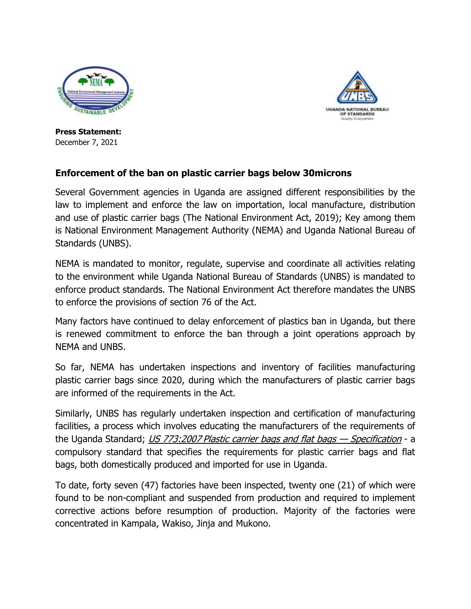



**Press Statement:** December 7, 2021

## **Enforcement of the ban on plastic carrier bags below 30microns**

Several Government agencies in Uganda are assigned different responsibilities by the law to implement and enforce the law on importation, local manufacture, distribution and use of plastic carrier bags (The National Environment Act, 2019); Key among them is National Environment Management Authority (NEMA) and Uganda National Bureau of Standards (UNBS).

NEMA is mandated to monitor, regulate, supervise and coordinate all activities relating to the environment while Uganda National Bureau of Standards (UNBS) is mandated to enforce product standards. The National Environment Act therefore mandates the UNBS to enforce the provisions of section 76 of the Act.

Many factors have continued to delay enforcement of plastics ban in Uganda, but there is renewed commitment to enforce the ban through a joint operations approach by NEMA and UNBS.

So far, NEMA has undertaken inspections and inventory of facilities manufacturing plastic carrier bags since 2020, during which the manufacturers of plastic carrier bags are informed of the requirements in the Act.

Similarly, UNBS has regularly undertaken inspection and certification of manufacturing facilities, a process which involves educating the manufacturers of the requirements of the Uganda Standard; US 773:2007 Plastic carrier bags and flat bags - Specification - a compulsory standard that specifies the requirements for plastic carrier bags and flat bags, both domestically produced and imported for use in Uganda.

To date, forty seven (47) factories have been inspected, twenty one (21) of which were found to be non-compliant and suspended from production and required to implement corrective actions before resumption of production. Majority of the factories were concentrated in Kampala, Wakiso, Jinja and Mukono.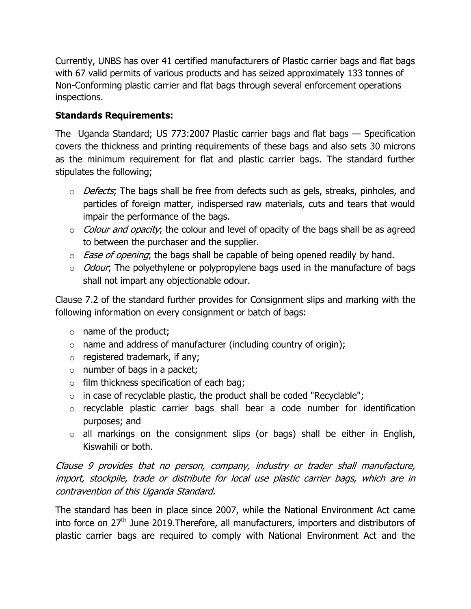Currently, UNBS has over 41 certified manufacturers of Plastic carrier bags and flat bags with 67 valid permits of various products and has seized approximately 133 tonnes of Non-Conforming plastic carrier and flat bags through several enforcement operations inspections.

## **Standards Requirements:**

The Uganda Standard; US 773:2007 Plastic carrier bags and flat bags — Specification covers the thickness and printing requirements of these bags and also sets 30 microns as the minimum requirement for flat and plastic carrier bags. The standard further stipulates the following;

- o *Defects*; The bags shall be free from defects such as gels, streaks, pinholes, and particles of foreign matter, indispersed raw materials, cuts and tears that would impair the performance of the bags.
- $\circ$  *Colour and opacity*; the colour and level of opacity of the bags shall be as agreed to between the purchaser and the supplier.
- $\circ$  *Ease of opening*; the bags shall be capable of being opened readily by hand.
- $\circ$  *Odour*; The polyethylene or polypropylene bags used in the manufacture of bags shall not impart any objectionable odour.

Clause 7.2 of the standard further provides for Consignment slips and marking with the following information on every consignment or batch of bags:

- o name of the product;
- $\circ$  name and address of manufacturer (including country of origin);
- o registered trademark, if any;
- $\circ$  number of bags in a packet;
- $\circ$  film thickness specification of each bag;
- $\circ$  in case of recyclable plastic, the product shall be coded "Recyclable";
- o recyclable plastic carrier bags shall bear a code number for identification purposes; and
- $\circ$  all markings on the consignment slips (or bags) shall be either in English, Kiswahili or both.

Clause 9 provides that no person, company, industry or trader shall manufacture, import, stockpile, trade or distribute for local use plastic carrier bags, which are in contravention of this Uganda Standard.

The standard has been in place since 2007, while the National Environment Act came into force on  $27<sup>th</sup>$  June 2019. Therefore, all manufacturers, importers and distributors of plastic carrier bags are required to comply with National Environment Act and the